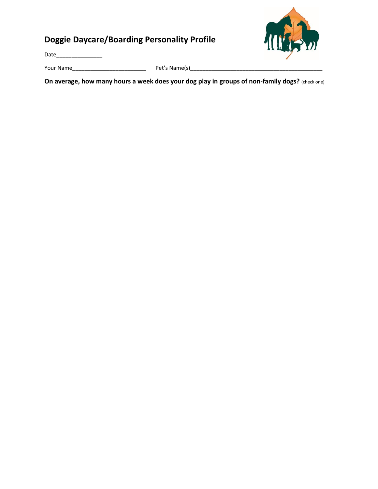## **Doggie Daycare/Boarding Personality Profile**

Date\_\_\_\_\_\_\_\_\_\_\_\_\_\_\_

Your Name\_\_\_\_\_\_\_\_\_\_\_\_\_\_\_\_\_\_\_\_\_\_\_\_ Pet's Name(s)\_\_\_\_\_\_\_\_\_\_\_\_\_\_\_\_\_\_\_\_\_\_\_\_\_\_\_\_\_\_\_\_\_\_\_\_\_\_\_\_\_\_\_

**On average, how many hours a week does your dog play in groups of non-family dogs?** (check one)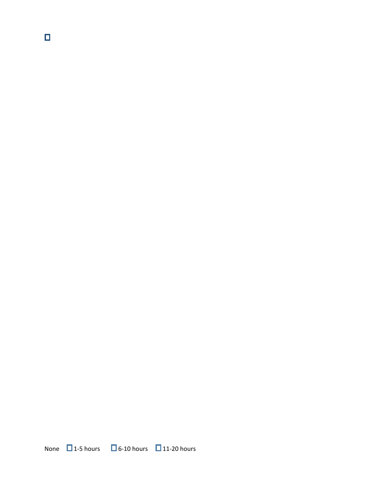$\blacksquare$